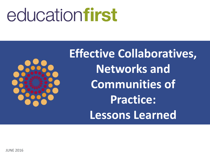# educationfirst



**Effective Collaboratives, Networks and Communities of Practice: Lessons Learned**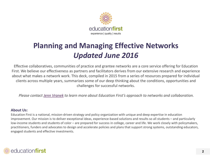

## **Planning and Managing Effective Networks** *Updated June 2016*

Effective collaboratives, communities of practice and grantee networks are a core service offering for Education First. We believe our effectiveness as partners and facilitators derives from our extensive research and experience about what makes a network work. This deck, compiled in 2015 from a series of resources prepared for individual clients across multiple years, summarizes some of our deep thinking about the conditions, opportunities and challenges for successful networks.

*Please contact [Jenn Vranek](email:%20jvranek@education-first.com) to learn more about Education First's approach to networks and collaboration.* 

#### **About Us:**

Education First is a national, mission-driven strategy and policy organization with unique and deep expertise in education improvement. Our mission is to deliver exceptional ideas, experience-based solutions and results so all students – and particularly low-income students and students of color – are prepared for success in college, career and life. We work closely with policymakers, practitioners, funders and advocates to design and accelerate policies and plans that support strong systems, outstanding educators, engaged students and effective investments.

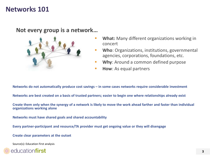### **Networks 101**

#### **Not every group is a network…**



- **What:** Many different organizations working in concert
- **Who**: Organizations, institutions, governmental agencies, corporations, foundations, etc.
- **Why:** Around a common defined purpose
- **How:** As equal partners

**Networks do not automatically produce cost savings – in some cases networks require considerable investment**

**Networks are best created on a basis of trusted partners; easier to begin one where relationships already exist**

**Create them only when the synergy of a network is likely to move the work ahead farther and faster than individual organizations working alone**

**Networks must have shared goals and shared accountability**

**Every partner-participant and resource/TA provider must get ongoing value or they will disengage**

**Create clear parameters at the outset**

Source(s): Education First analysis

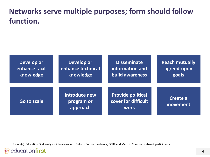### **Networks serve multiple purposes; form should follow function.**

| Develop or    | Develop or                              | <b>Disseminate</b>                                      | <b>Reach mutually</b> |
|---------------|-----------------------------------------|---------------------------------------------------------|-----------------------|
| enhance tacit | enhance technical                       | information and                                         | agreed-upon           |
| knowledge     | knowledge                               | <b>build awareness</b>                                  | goals                 |
| Go to scale   | Introduce new<br>program or<br>approach | <b>Provide political</b><br>cover for difficult<br>work | Create a<br>movement  |

Source(s): Education First analysis; interviews with Reform Support Network, CORE and Math in Common network participants

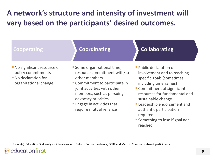### **A network's structure and intensity of investment will vary based on the participants' desired outcomes.**

#### **Cooperating Coordinating**

- **No significant resource or** policy commitments
- **No declaration for** organizational change
- **Some organizational time,** resource commitment with/to other members
- Commitment to participate in joint activities with other members, such as pursuing advocacy priorities
- **Engage in activities that** require mutual reliance
- **Collaborating**
- **Public declaration of** involvement and to reaching specific goals (sometimes including timeframes)
- **Commitment of significant** resources for fundamental and sustainable change
- Leadership endorsement and authentic participation required
- **Something to lose if goal not** reached

Source(s): Education First analysis; interviews with Reform Support Network, CORE and Math in Common network participants

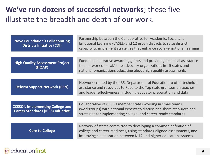### **We've run dozens of successful networks**; these five illustrate the breadth and depth of our work.

| <b>Novo Foundation's Collaborating</b><br><b>Districts Initiative (CDI)</b>          | Partnership between the Collaborative for Academic, Social and<br>Emotional Learning (CASEL) and 12 urban districts to raise district<br>capacity to implement strategies that enhance social-emotional learning     |  |  |  |  |
|--------------------------------------------------------------------------------------|----------------------------------------------------------------------------------------------------------------------------------------------------------------------------------------------------------------------|--|--|--|--|
|                                                                                      |                                                                                                                                                                                                                      |  |  |  |  |
| <b>High Quality Assessment Project</b><br>(HQAP)                                     | Funder collaborative awarding grants and providing technical assistance<br>to a network of local/state advocacy organizations in 15 states and<br>national organizations educating about high quality assessments    |  |  |  |  |
|                                                                                      |                                                                                                                                                                                                                      |  |  |  |  |
| <b>Reform Support Network (RSN)</b>                                                  | Network created by the U.S. Department of Education to offer technical<br>assistance and resources to Race to the Top state grantees on teacher<br>and leader effectiveness, including educator preparation and data |  |  |  |  |
|                                                                                      |                                                                                                                                                                                                                      |  |  |  |  |
| <b>CCSSO's Implementing College and</b><br><b>Career Standards (ICCS) Initiative</b> | Collaborative of CCSSO member states working in small teams<br>(workgroups) with national experts to discuss and share resources and<br>strategies for implementing college- and career-ready standards              |  |  |  |  |
|                                                                                      |                                                                                                                                                                                                                      |  |  |  |  |
| <b>Core to College</b>                                                               | Network of states committed to developing a common definition of<br>college and career readiness, using standards-aligned assessments, and<br>improving collaboration between K-12 and higher education systems      |  |  |  |  |

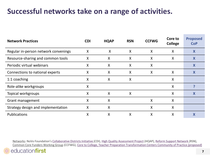### **Successful networks take on a range of activities.**

| <b>Network Practices</b>             | <b>CDI</b> | <b>HQAP</b> | <b>RSN</b> | <b>CCFWG</b> | Core to<br><b>College</b> | <b>Proposed</b><br><b>CoP</b> |
|--------------------------------------|------------|-------------|------------|--------------|---------------------------|-------------------------------|
| Regular in-person network convenings | X          | X           | X          | X            | X                         | X                             |
| Resource-sharing and common tools    | X          | X           | X          | X            | X                         | X                             |
| Periodic virtual webinars            | X          | X           | X          | X            |                           | X                             |
| Connections to national experts      | X          | X           | X          | X            | X                         | X                             |
| 1:1 coaching                         | X          | X           | X          |              | X                         |                               |
| Role-alike workgroups                | X          |             |            |              | X                         |                               |
| Topical workgroups                   | X          | X           | X          |              | X                         | X                             |
| Grant management                     | X          | X           |            | X            | X                         |                               |
| Strategy design and implementation   | X          | X           |            | X            | X                         |                               |
| Publications                         | X          | X           | X          | X            | X                         | X                             |

Networks: NoVo Foundation's [Collaborative Districts Initiative](http://www.casel.org/collaborating-districts/) (CDI), [High Quality Assessment Project](http://education-first.com/impact/featured-story/high-quality-assessment-project/) (HQAP), [Reform Support Network](https://rtt.grads360.org/#program) (RSN), Common Core Funders Working Group (CCFWG), [Core to College, Teacher Preparation Transformation Centers Community of Practice](http://rockpa.org/page.aspx?pid=580) *(proposed*)

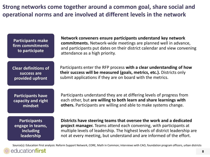**Strong networks come together around a common goal, share social and operational norms and are involved at different levels in the network**

**Participants make firm commitments to participate**

**Network conveners ensure participants understand key network commitments.** Network-wide meetings are planned well in advance, and participants put dates on their district calendar and view convening attendance as a high priority.

**Clear definitions of success are provided upfront**

Participants enter the RFP process **with a clear understanding of how their success will be measured (goals, metrics, etc.).** Districts only submit applications if they are on board with the metrics.

**Participants have capacity and right mindset** 

Participants understand they are at differing levels of progress from each other, but **are willing to both learn and share learnings with others.** Participants are willing and able to make systems change.

**Participants engage in teams, including leadership**

**Districts have steering teams that oversee the work and a dedicated project manager.** Teams attend each convening, with participants at multiple levels of leadership. The highest levels of district leadership are not at every meeting, but understand and are informed of the effort.

Source(s): Education First analysis: Reform Support Network, CORE, Math in Common; interviews with CAO, foundation program officers, urban districts

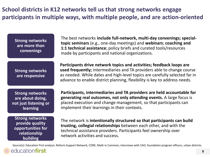**School districts in K12 networks tell us that strong networks engage participants in multiple ways, with multiple people, and are action-oriented**

| <b>Strong networks</b><br>are more than<br>convenings                                      | The best networks include full-network, multi-day convenings; special-<br>topic seminars (e.g., one-day meetings) and webinars; coaching and<br>1:1 technical assistance; policy briefs and curated tools/resources<br>made by participants and national organizations.                                   |  |
|--------------------------------------------------------------------------------------------|-----------------------------------------------------------------------------------------------------------------------------------------------------------------------------------------------------------------------------------------------------------------------------------------------------------|--|
| <b>Strong networks</b><br>are responsive                                                   | Participants drive network topics and activities; feedback loops are<br>used frequently; intermediaries and TA providers able to change course<br>as needed. While dates and high-level topics are carefully selected far in<br>advance to enable district planning, flexibility is key to address needs. |  |
| <b>Strong networks</b><br>are about doing,<br>not just listening or<br><b>learning</b>     | Participants, intermediaries and TA providers are held accountable for<br>generating real outcomes, not only attending events. A large focus is<br>placed execution and change management, so that participants can<br>implement their learnings in their contexts.                                       |  |
| <b>Strong networks</b><br>provide quality<br>opportunities for<br>relationship<br>building | The network is intentionally structured so that participants can build<br>trusting, collegial relationships between each other, and with the<br>technical assistance providers. Participants feel ownership over<br>network activities and success.                                                       |  |

Source(s): Education First analysis: Reform Support Network, CORE, Math in Common; interviews with CAO, foundation program officers, urban districts

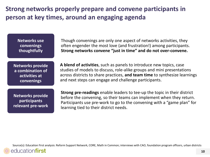### **Strong networks properly prepare and convene participants in person at key times, around an engaging agenda**

**Networks use convenings thoughtfully**

Though convenings are only one aspect of networks activities, they often engender the most love (and frustration!) among participants. **Strong networks convene "just in time" and do not over-convene.**

**Networks provide a combination of activities at convenings**

**A blend of activities**, such as panels to introduce new topics, case studies of models to discuss, role-alike groups and mini presentations across districts to share practices, **and team time** to synthesize learnings and next steps can engage and challenge participants.

**Networks provide participants relevant pre-work** **Strong pre-readings** enable leaders to tee-up the topic in their district before the convening, so their teams can implement when they return. Participants use pre-work to go to the convening with a "game plan" for learning tied to their district needs.

Source(s): Education First analysis: Reform Support Network, CORE, Math in Common; interviews with CAO, foundation program officers, urban districts

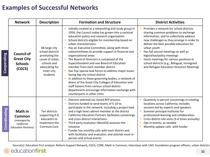#### **Examples of Successful Networks**

|              | <b>Network</b>                                                               | <b>Description</b>                                                                                                              | <b>Formation and Structure</b>                                                                                                                                                                                                                                                                                                                                                                                                                                                                                                                                                                                                                                                                                                                                                                                                             | <b>District Activities</b>                                                                                                                                                                                                                                                                                                                                                                                                                          |
|--------------|------------------------------------------------------------------------------|---------------------------------------------------------------------------------------------------------------------------------|--------------------------------------------------------------------------------------------------------------------------------------------------------------------------------------------------------------------------------------------------------------------------------------------------------------------------------------------------------------------------------------------------------------------------------------------------------------------------------------------------------------------------------------------------------------------------------------------------------------------------------------------------------------------------------------------------------------------------------------------------------------------------------------------------------------------------------------------|-----------------------------------------------------------------------------------------------------------------------------------------------------------------------------------------------------------------------------------------------------------------------------------------------------------------------------------------------------------------------------------------------------------------------------------------------------|
| Cooperating  | <b>Council of</b><br><b>Great City</b><br><b>Schools</b><br>(CGCS)           | 68 large city<br>school districts<br>promoting the<br>cause of urban<br>schools and<br>advocating for<br>inner-city<br>students | Initially created as a networking and study group in<br>1956, the Council today has grown into a national<br>education policy and research organization<br>School districts eligible for membership based on<br>urban characteristics.<br>Has an Executive Committee, along with three<br>subcommittees to provide support in financial and<br>organizational areas<br>The Board of Directors is composed of the<br>Superintendent and one Board of Education<br>member from each member district<br>Has five special task forces to address major issues<br>facing big-city school district<br>In addition to these governing bodies, a network of<br>deans of the Great City Colleges of Education and<br>staff liaisons from various school district<br>departments encourage information exchange with<br>counterparts in other cities | Provides a network for school districts<br>sharing common problems to exchange<br>information, and to collectively address<br>new challenges as they emerge in order to<br>deliver the best possible education for<br>urban youth<br>Has fall annual meetings as well as<br>п<br>legislative/policy meetings<br>Hosts meetings for various positions in<br>school districts (e.g., Bilingual, Immigrant<br>and Refugee Education Directors Meeting) |
| Coordinating | Math in<br>Common<br>(managed by<br>California<br><b>Education Partners)</b> | Ten districts<br>supporting K-8<br>educators to<br>implement the<br>Common Core                                                 | Districts selected via closed RFP process<br>Districts funded to send teams of 5-10 to<br>participate in the network, including a project lead<br>and a high level cabinet member at the district<br>California Education Partners facilitates convenings<br>and cross-district interactions<br>Third party evaluator (WestEd) assesses the<br>initiative<br>Funder has monthly calls with each district and<br>with facilitator and evaluator, and attends most in-<br>person and virtual events                                                                                                                                                                                                                                                                                                                                          | Quarterly in-person convenings in rotating<br>locations across California; includes<br>sessions led by experts and speakers<br>Summer principal institutes for<br>professional learning and collaboration<br>Cross district site visits (3-4 times annually)<br>$\blacksquare$<br>Opt-in events, as needed<br>Monthly update calls with funder                                                                                                      |

Source(s): Education First analysis: Reform Support Network, CGCS, CORE, Math in Common; interviews with CAO, foundation program officers, urban districts

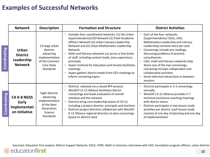#### **Examples of Successful Networks**

|              | <b>Network</b>                                                  | <b>Description</b>                                                                                         | <b>Formation and Structure</b>                                                                                                                                                                                                                                                                                                                                                                                                                                                                    | <b>District Activities</b>                                                                                                                                                                                                                                                                                                                                                                                                          |
|--------------|-----------------------------------------------------------------|------------------------------------------------------------------------------------------------------------|---------------------------------------------------------------------------------------------------------------------------------------------------------------------------------------------------------------------------------------------------------------------------------------------------------------------------------------------------------------------------------------------------------------------------------------------------------------------------------------------------|-------------------------------------------------------------------------------------------------------------------------------------------------------------------------------------------------------------------------------------------------------------------------------------------------------------------------------------------------------------------------------------------------------------------------------------|
| Coordinating | <b>Urban</b><br><b>District</b><br>Leadership<br><b>Network</b> | 13 large urban<br>districts<br>advancing<br>implementation<br>of the Common<br>Core State<br>Standards     | Includes four coordinated networks: (1) the Urban<br>Superintendents/CEO Network (2) Chief Academic<br>Officers Network (3) Urban Literacy Leadership<br>Network and (4) Urban Mathematics Leadership<br>Network<br>Math and literacy networks cut across a few levels<br>of staff, including content leads, area supervisors,<br>principals<br>Aspen Institute for Education and Society facilitates<br>meetings<br>Aspen gathers district needs from CEO meetings to<br>inform convening topics | Each of the four networks<br>(Superintendents/ CEOs, CAO,<br>Mathematics Leadership and Literacy<br>Leadership) convene twice per year<br>Convenings include pre-readings,<br>discussing problems of practice,<br>consultancies<br>CAO, math and literacy networks help<br>direct one of the two convenings;<br>convening includes independent and<br>collaborative activities<br>Some informal interactions in between<br>sessions |
| Coordinating | <b>CA K-8 NGSS</b><br>Early<br>Implementati<br>on Initiative    | Eight districts<br>advancing<br>implementation<br>of the Next<br>Generation<br>Science<br><b>Standards</b> | Districts selected via a closed RFP process<br>WestED's K-12 Alliance facilitates district<br>convenings and leads evaluation of overall<br>initiative and the network<br>Districts bring core leadership teams of 10-12,<br>including a project director, principals and teachers<br>Districts project directors collaborate with WestED<br>K-12 Alliance regional directors to plan convenings<br>based on district need                                                                        | Districts participate in 2-3 convenings<br>annually<br>WestED's K-12 Alliance provides 5-7<br>technical assistance coaching meetings<br>with district teams<br>Districts participate in two lesson study<br>activities per district; each lesson study<br>consists of one day of planning and one day<br>of implementation                                                                                                          |

Source(s): Education First analysis: Reform Support Network, CGCS, CORE, Math in Common; interviews with CAO, foundation program officers, urban districts

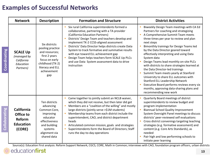### **Examples of Successful Networks**

|                      | <b>Network</b>                                                         | <b>Description</b>                                                                                                                                   | <b>Formation and Structure</b>                                                                                                                                                                                                                                                                                                                                                                                                                                                                  | <b>District Activities</b>                                                                                                                                                                                                                                                                                                                                                                                                                                                                                                                                                                                                                                                                        |
|----------------------|------------------------------------------------------------------------|------------------------------------------------------------------------------------------------------------------------------------------------------|-------------------------------------------------------------------------------------------------------------------------------------------------------------------------------------------------------------------------------------------------------------------------------------------------------------------------------------------------------------------------------------------------------------------------------------------------------------------------------------------------|---------------------------------------------------------------------------------------------------------------------------------------------------------------------------------------------------------------------------------------------------------------------------------------------------------------------------------------------------------------------------------------------------------------------------------------------------------------------------------------------------------------------------------------------------------------------------------------------------------------------------------------------------------------------------------------------------|
| Coordinating         | <b>SCALE Up</b><br>(managed by<br>California<br>Education<br>Partners) | Six districts<br>pooling practice<br>and resources;<br>first 2 years<br>focus on early<br>childhood (TK-2)<br>literacy and ELL<br>achievement<br>gap | Six rural California superintendents formed a<br>collaborative, partnering with a TA provider<br>(California Education Partners)<br>Districts' Design Team and teachers develop and<br>implement TK-2 CCSS-aligned assessment<br>Districts' Data Director helps districts create Data<br>System to track formative and summative results<br>with eye toward ELL achievement gap<br>Design Team helps teachers form SCALE Up PLCs<br>and use Data System assessment data to drive<br>instruction | Biweekly Design Team meetings with CA Ed<br>Partners for coaching and strategizing<br>A Comprehensive Summit Team meets<br>three times per year to review and plan<br>next steps<br>Bimonthly trainings for Design Teams led<br>by the Data Director geared toward<br>effectively interpreting and using Data<br>System data<br>Design Teams lead monthly on-site PLCs<br>with districts to share strategies learned at<br>the Data Director-led trainings<br>Summit Team meets yearly at Stanford<br>University to share ELL outcomes with<br>Stanford ELL Leadership Network<br>Executive Board performs reviews every six<br>months, approving data-sharing plans and<br>recommending new work |
| <b>Collaborating</b> | <b>California</b><br>Office to<br>Reform<br><b>Education</b><br>(CORE) | Ten districts<br>advancing<br>Common Core,<br>improving<br>educator<br>effectiveness<br>and building<br>systems<br>alignment via<br>shared data      | Came together to jointly submit an NCLB waiver,<br>Ē,<br>which they did not receive, but then later did get<br>Members are a "coalition of the willing" and mostly<br>large districts (jointly serve >\$1M students)<br>Membership teams from each district include the<br>superintendent, CAO, and district department<br>heads<br>Articulated common mission, goals and strategies<br>×<br>Superintendents form the Board of Directors; Staff<br>runs the day-to-day operations               | Quarterly Board meetings of district<br>superintendents to review budget and<br>program implementation<br><b>Biannual School Quality Improvement</b><br>System Oversight Panel meetings to discuss<br>districts' peer-reviewed self evaluations<br>Cross district convenings targeting teaching<br>strategies (e.g. formative assessment) and<br>content (e.g. Core Arts Standards), as<br>needed<br>Pair high and low performing schools to<br>initiate peer learning                                                                                                                                                                                                                            |

Source(s): Education First analysis: Reform Support Network, CGCS, CORE, Math in Common; interviews with CAO, foundation program officers, urban districts